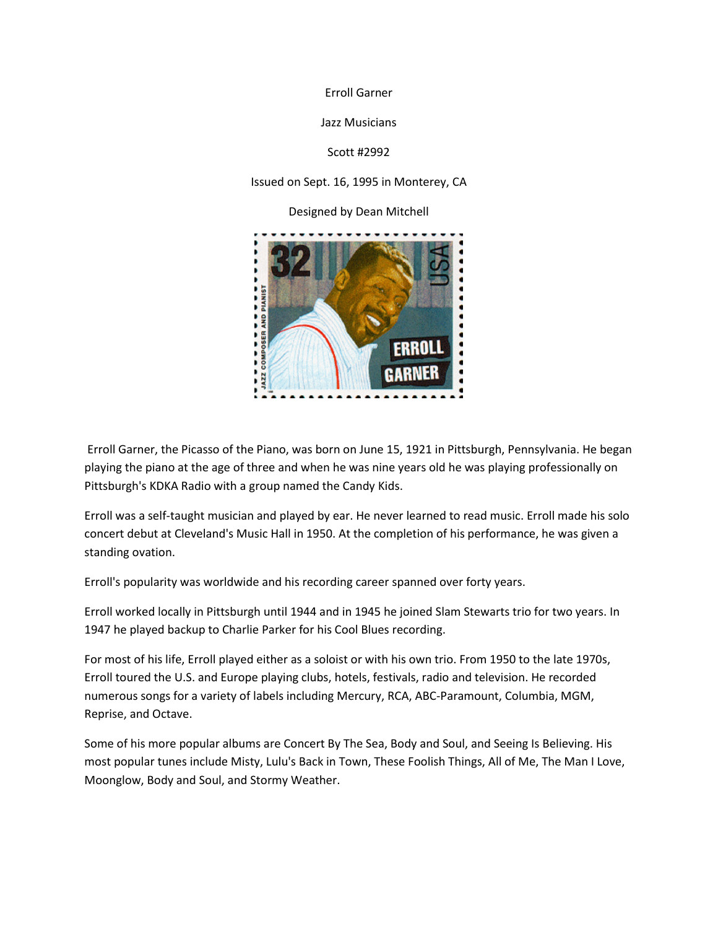Erroll Garner

Jazz Musicians

Scott #2992

Issued on Sept. 16, 1995 in Monterey, CA

Designed by Dean Mitchell



Erroll Garner, the Picasso of the Piano, was born on June 15, 1921 in Pittsburgh, Pennsylvania. He began playing the piano at the age of three and when he was nine years old he was playing professionally on Pittsburgh's KDKA Radio with a group named the Candy Kids.

Erroll was a self-taught musician and played by ear. He never learned to read music. Erroll made his solo concert debut at Cleveland's Music Hall in 1950. At the completion of his performance, he was given a standing ovation.

Erroll's popularity was worldwide and his recording career spanned over forty years.

Erroll worked locally in Pittsburgh until 1944 and in 1945 he joined Slam Stewarts trio for two years. In 1947 he played backup to Charlie Parker for his Cool Blues recording.

For most of his life, Erroll played either as a soloist or with his own trio. From 1950 to the late 1970s, Erroll toured the U.S. and Europe playing clubs, hotels, festivals, radio and television. He recorded numerous songs for a variety of labels including Mercury, RCA, ABC-Paramount, Columbia, MGM, Reprise, and Octave.

Some of his more popular albums are Concert By The Sea, Body and Soul, and Seeing Is Believing. His most popular tunes include Misty, Lulu's Back in Town, These Foolish Things, All of Me, The Man I Love, Moonglow, Body and Soul, and Stormy Weather.